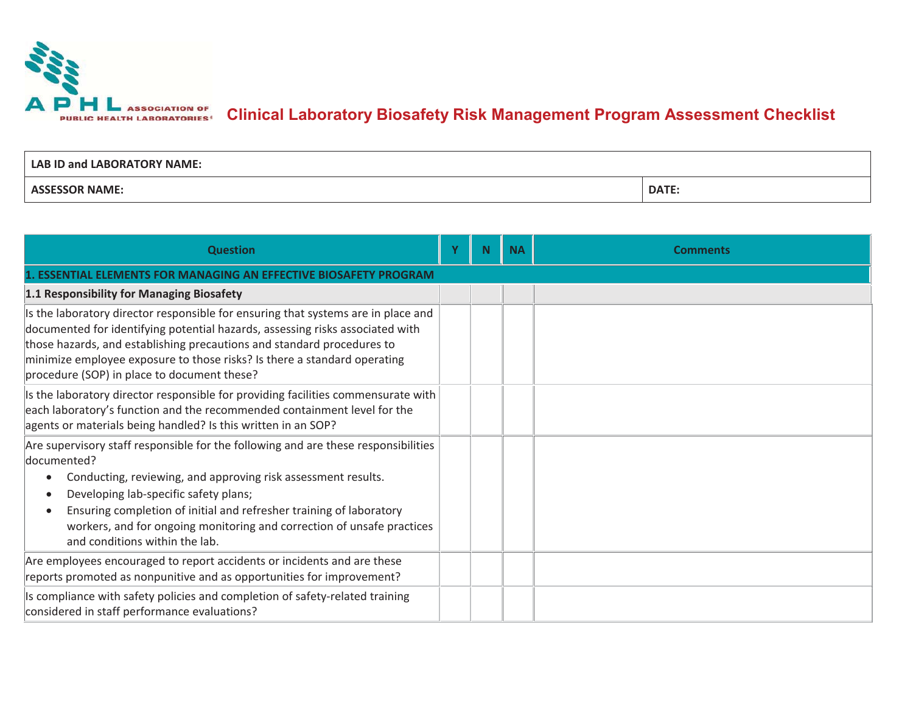

| LAB ID and LABORATORY NAME: |              |
|-----------------------------|--------------|
| <b>ASSESSOR NAME:</b>       | <b>DATE:</b> |

| <b>Question</b>                                                                                                                                                                                                                                                                                                                                                                                                                       | v | N | <b>NA</b> | <b>Comments</b> |  |  |  |
|---------------------------------------------------------------------------------------------------------------------------------------------------------------------------------------------------------------------------------------------------------------------------------------------------------------------------------------------------------------------------------------------------------------------------------------|---|---|-----------|-----------------|--|--|--|
| <b>ESSENTIAL ELEMENTS FOR MANAGING AN EFFECTIVE BIOSAFETY PROGRAM</b>                                                                                                                                                                                                                                                                                                                                                                 |   |   |           |                 |  |  |  |
| 1.1 Responsibility for Managing Biosafety                                                                                                                                                                                                                                                                                                                                                                                             |   |   |           |                 |  |  |  |
| Is the laboratory director responsible for ensuring that systems are in place and<br>documented for identifying potential hazards, assessing risks associated with<br>those hazards, and establishing precautions and standard procedures to<br>minimize employee exposure to those risks? Is there a standard operating<br>procedure (SOP) in place to document these?                                                               |   |   |           |                 |  |  |  |
| Is the laboratory director responsible for providing facilities commensurate with $ $<br>each laboratory's function and the recommended containment level for the<br>agents or materials being handled? Is this written in an SOP?                                                                                                                                                                                                    |   |   |           |                 |  |  |  |
| Are supervisory staff responsible for the following and are these responsibilities<br>documented?<br>Conducting, reviewing, and approving risk assessment results.<br>$\bullet$<br>Developing lab-specific safety plans;<br>$\bullet$<br>Ensuring completion of initial and refresher training of laboratory<br>$\bullet$<br>workers, and for ongoing monitoring and correction of unsafe practices<br>and conditions within the lab. |   |   |           |                 |  |  |  |
| Are employees encouraged to report accidents or incidents and are these<br>reports promoted as nonpunitive and as opportunities for improvement?                                                                                                                                                                                                                                                                                      |   |   |           |                 |  |  |  |
| Is compliance with safety policies and completion of safety-related training<br>considered in staff performance evaluations?                                                                                                                                                                                                                                                                                                          |   |   |           |                 |  |  |  |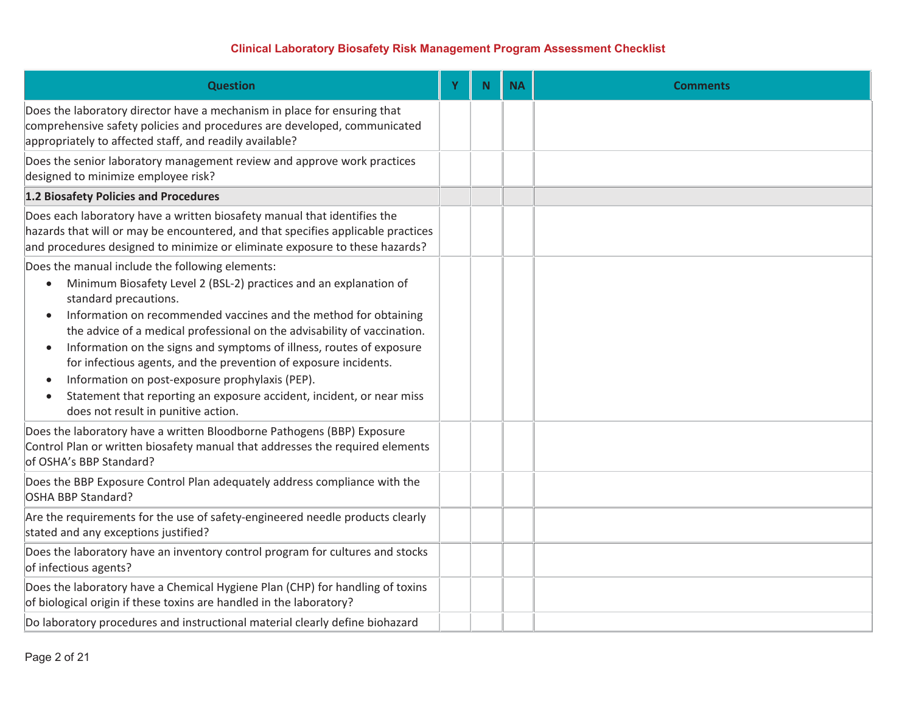| <b>Question</b>                                                                                                                                                                                                                                                                                                                                                                                                                                                                                                                                                                                                                                                               | Υ | N. | <b>NA</b> | <b>Comments</b> |
|-------------------------------------------------------------------------------------------------------------------------------------------------------------------------------------------------------------------------------------------------------------------------------------------------------------------------------------------------------------------------------------------------------------------------------------------------------------------------------------------------------------------------------------------------------------------------------------------------------------------------------------------------------------------------------|---|----|-----------|-----------------|
| Does the laboratory director have a mechanism in place for ensuring that<br>comprehensive safety policies and procedures are developed, communicated<br>appropriately to affected staff, and readily available?                                                                                                                                                                                                                                                                                                                                                                                                                                                               |   |    |           |                 |
| Does the senior laboratory management review and approve work practices<br>designed to minimize employee risk?                                                                                                                                                                                                                                                                                                                                                                                                                                                                                                                                                                |   |    |           |                 |
| 1.2 Biosafety Policies and Procedures                                                                                                                                                                                                                                                                                                                                                                                                                                                                                                                                                                                                                                         |   |    |           |                 |
| Does each laboratory have a written biosafety manual that identifies the<br>hazards that will or may be encountered, and that specifies applicable practices<br>and procedures designed to minimize or eliminate exposure to these hazards?                                                                                                                                                                                                                                                                                                                                                                                                                                   |   |    |           |                 |
| Does the manual include the following elements:<br>Minimum Biosafety Level 2 (BSL-2) practices and an explanation of<br>$\bullet$<br>standard precautions.<br>Information on recommended vaccines and the method for obtaining<br>$\bullet$<br>the advice of a medical professional on the advisability of vaccination.<br>Information on the signs and symptoms of illness, routes of exposure<br>$\bullet$<br>for infectious agents, and the prevention of exposure incidents.<br>Information on post-exposure prophylaxis (PEP).<br>$\bullet$<br>Statement that reporting an exposure accident, incident, or near miss<br>$\bullet$<br>does not result in punitive action. |   |    |           |                 |
| Does the laboratory have a written Bloodborne Pathogens (BBP) Exposure<br>Control Plan or written biosafety manual that addresses the required elements<br>of OSHA's BBP Standard?                                                                                                                                                                                                                                                                                                                                                                                                                                                                                            |   |    |           |                 |
| Does the BBP Exposure Control Plan adequately address compliance with the<br>OSHA BBP Standard?                                                                                                                                                                                                                                                                                                                                                                                                                                                                                                                                                                               |   |    |           |                 |
| Are the requirements for the use of safety-engineered needle products clearly<br>stated and any exceptions justified?                                                                                                                                                                                                                                                                                                                                                                                                                                                                                                                                                         |   |    |           |                 |
| Does the laboratory have an inventory control program for cultures and stocks<br>of infectious agents?                                                                                                                                                                                                                                                                                                                                                                                                                                                                                                                                                                        |   |    |           |                 |
| Does the laboratory have a Chemical Hygiene Plan (CHP) for handling of toxins<br>of biological origin if these toxins are handled in the laboratory?                                                                                                                                                                                                                                                                                                                                                                                                                                                                                                                          |   |    |           |                 |
| Do laboratory procedures and instructional material clearly define biohazard                                                                                                                                                                                                                                                                                                                                                                                                                                                                                                                                                                                                  |   |    |           |                 |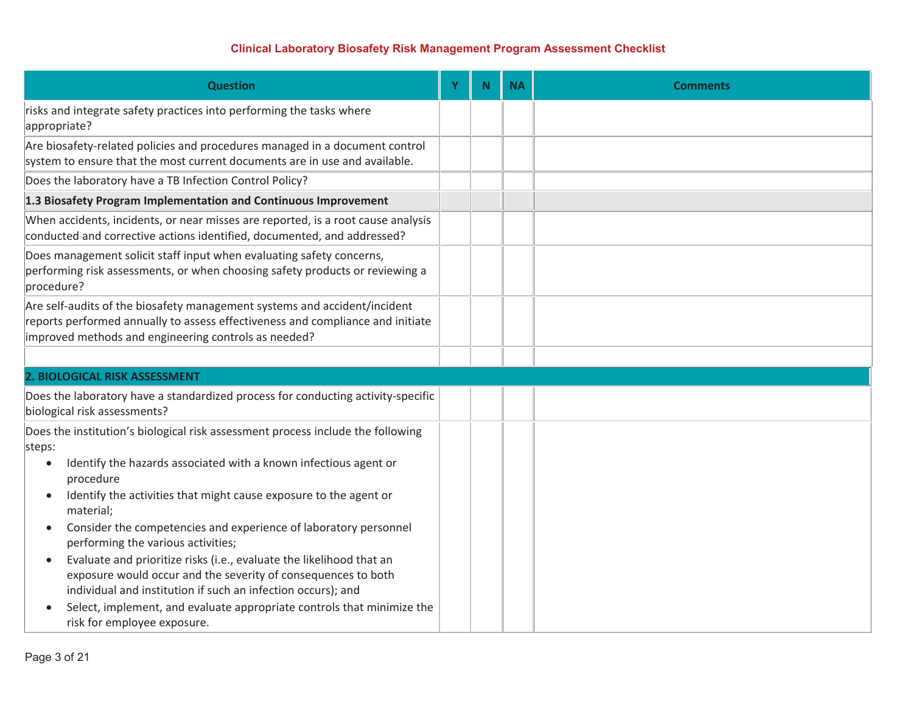| <b>Question</b>                                                                                                                                                                                                                                                                                                                                                                                                                                                                                                                                                                                                                                                                          | N <sub>1</sub> | <b>NA</b> | <b>Comments</b> |
|------------------------------------------------------------------------------------------------------------------------------------------------------------------------------------------------------------------------------------------------------------------------------------------------------------------------------------------------------------------------------------------------------------------------------------------------------------------------------------------------------------------------------------------------------------------------------------------------------------------------------------------------------------------------------------------|----------------|-----------|-----------------|
| risks and integrate safety practices into performing the tasks where<br>appropriate?                                                                                                                                                                                                                                                                                                                                                                                                                                                                                                                                                                                                     |                |           |                 |
| Are biosafety-related policies and procedures managed in a document control<br>system to ensure that the most current documents are in use and available.                                                                                                                                                                                                                                                                                                                                                                                                                                                                                                                                |                |           |                 |
| Does the laboratory have a TB Infection Control Policy?                                                                                                                                                                                                                                                                                                                                                                                                                                                                                                                                                                                                                                  |                |           |                 |
| 1.3 Biosafety Program Implementation and Continuous Improvement                                                                                                                                                                                                                                                                                                                                                                                                                                                                                                                                                                                                                          |                |           |                 |
| When accidents, incidents, or near misses are reported, is a root cause analysis<br>conducted and corrective actions identified, documented, and addressed?                                                                                                                                                                                                                                                                                                                                                                                                                                                                                                                              |                |           |                 |
| Does management solicit staff input when evaluating safety concerns,<br>performing risk assessments, or when choosing safety products or reviewing a<br>procedure?                                                                                                                                                                                                                                                                                                                                                                                                                                                                                                                       |                |           |                 |
| Are self-audits of the biosafety management systems and accident/incident<br>reports performed annually to assess effectiveness and compliance and initiate<br>improved methods and engineering controls as needed?                                                                                                                                                                                                                                                                                                                                                                                                                                                                      |                |           |                 |
|                                                                                                                                                                                                                                                                                                                                                                                                                                                                                                                                                                                                                                                                                          |                |           |                 |
| 2. BIOLOGICAL RISK ASSESSMENT                                                                                                                                                                                                                                                                                                                                                                                                                                                                                                                                                                                                                                                            |                |           |                 |
| Does the laboratory have a standardized process for conducting activity-specific<br>biological risk assessments?                                                                                                                                                                                                                                                                                                                                                                                                                                                                                                                                                                         |                |           |                 |
| Does the institution's biological risk assessment process include the following<br>steps:<br>Identify the hazards associated with a known infectious agent or<br>procedure<br>Identify the activities that might cause exposure to the agent or<br>material;<br>Consider the competencies and experience of laboratory personnel<br>performing the various activities;<br>Evaluate and prioritize risks (i.e., evaluate the likelihood that an<br>exposure would occur and the severity of consequences to both<br>individual and institution if such an infection occurs); and<br>Select, implement, and evaluate appropriate controls that minimize the<br>risk for employee exposure. |                |           |                 |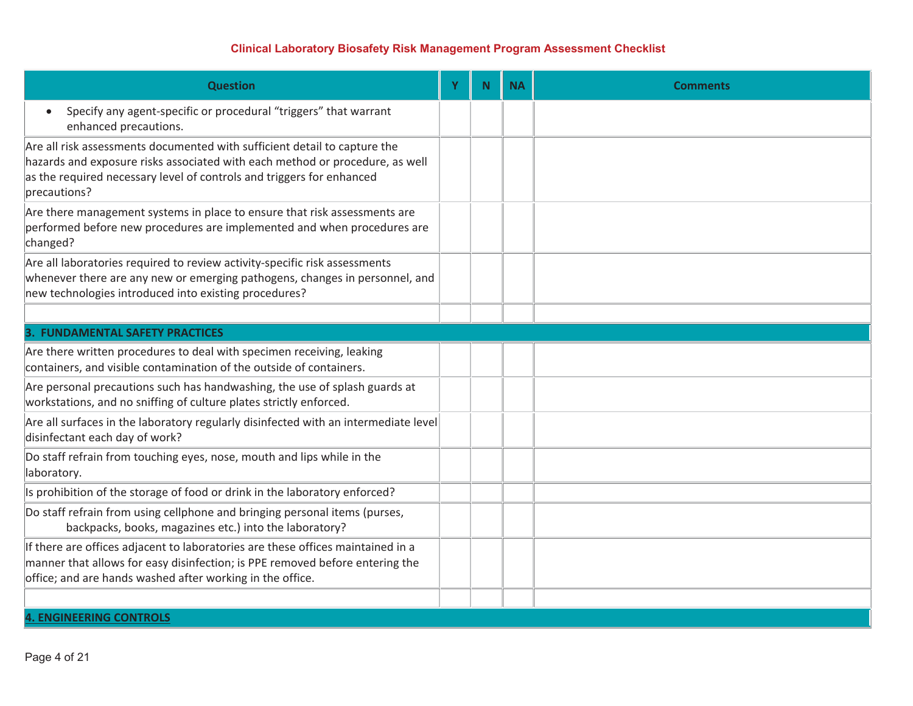| <b>Question</b>                                                                                                                                                                                                                                    | Y | N. | <b>NA</b> | <b>Comments</b> |
|----------------------------------------------------------------------------------------------------------------------------------------------------------------------------------------------------------------------------------------------------|---|----|-----------|-----------------|
| Specify any agent-specific or procedural "triggers" that warrant<br>enhanced precautions.                                                                                                                                                          |   |    |           |                 |
| Are all risk assessments documented with sufficient detail to capture the<br>hazards and exposure risks associated with each method or procedure, as well<br>as the required necessary level of controls and triggers for enhanced<br>precautions? |   |    |           |                 |
| Are there management systems in place to ensure that risk assessments are<br>performed before new procedures are implemented and when procedures are<br>changed?                                                                                   |   |    |           |                 |
| Are all laboratories required to review activity-specific risk assessments<br>whenever there are any new or emerging pathogens, changes in personnel, and<br>new technologies introduced into existing procedures?                                 |   |    |           |                 |
|                                                                                                                                                                                                                                                    |   |    |           |                 |
| <b>3. FUNDAMENTAL SAFETY PRACTICES</b>                                                                                                                                                                                                             |   |    |           |                 |
| Are there written procedures to deal with specimen receiving, leaking<br>containers, and visible contamination of the outside of containers.                                                                                                       |   |    |           |                 |
| Are personal precautions such has handwashing, the use of splash guards at<br>workstations, and no sniffing of culture plates strictly enforced.                                                                                                   |   |    |           |                 |
| Are all surfaces in the laboratory regularly disinfected with an intermediate level<br>disinfectant each day of work?                                                                                                                              |   |    |           |                 |
| Do staff refrain from touching eyes, nose, mouth and lips while in the<br>laboratory.                                                                                                                                                              |   |    |           |                 |
| Is prohibition of the storage of food or drink in the laboratory enforced?                                                                                                                                                                         |   |    |           |                 |
| Do staff refrain from using cellphone and bringing personal items (purses,<br>backpacks, books, magazines etc.) into the laboratory?                                                                                                               |   |    |           |                 |
| If there are offices adjacent to laboratories are these offices maintained in a<br>manner that allows for easy disinfection; is PPE removed before entering the<br>office; and are hands washed after working in the office.                       |   |    |           |                 |
|                                                                                                                                                                                                                                                    |   |    |           |                 |
| <b>4. ENGINEERING CONTROLS</b>                                                                                                                                                                                                                     |   |    |           |                 |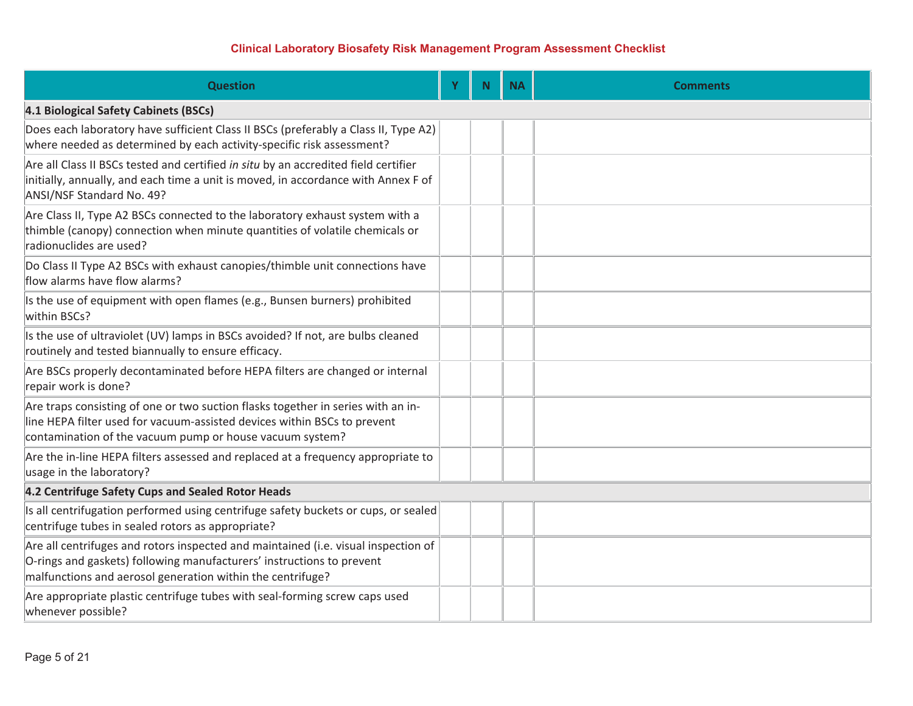| <b>Question</b>                                                                                                                                                                                                           | Y | <b>N</b> | <b>NA</b> | <b>Comments</b> |
|---------------------------------------------------------------------------------------------------------------------------------------------------------------------------------------------------------------------------|---|----------|-----------|-----------------|
| 4.1 Biological Safety Cabinets (BSCs)                                                                                                                                                                                     |   |          |           |                 |
| Does each laboratory have sufficient Class II BSCs (preferably a Class II, Type A2)<br>where needed as determined by each activity-specific risk assessment?                                                              |   |          |           |                 |
| Are all Class II BSCs tested and certified in situ by an accredited field certifier<br>initially, annually, and each time a unit is moved, in accordance with Annex F of<br>ANSI/NSF Standard No. 49?                     |   |          |           |                 |
| Are Class II, Type A2 BSCs connected to the laboratory exhaust system with a<br>thimble (canopy) connection when minute quantities of volatile chemicals or<br>radionuclides are used?                                    |   |          |           |                 |
| Do Class II Type A2 BSCs with exhaust canopies/thimble unit connections have<br>flow alarms have flow alarms?                                                                                                             |   |          |           |                 |
| Is the use of equipment with open flames (e.g., Bunsen burners) prohibited<br>within BSCs?                                                                                                                                |   |          |           |                 |
| Is the use of ultraviolet (UV) lamps in BSCs avoided? If not, are bulbs cleaned<br>routinely and tested biannually to ensure efficacy.                                                                                    |   |          |           |                 |
| Are BSCs properly decontaminated before HEPA filters are changed or internal<br>repair work is done?                                                                                                                      |   |          |           |                 |
| Are traps consisting of one or two suction flasks together in series with an in-<br>line HEPA filter used for vacuum-assisted devices within BSCs to prevent<br>contamination of the vacuum pump or house vacuum system?  |   |          |           |                 |
| Are the in-line HEPA filters assessed and replaced at a frequency appropriate to<br>usage in the laboratory?                                                                                                              |   |          |           |                 |
| 4.2 Centrifuge Safety Cups and Sealed Rotor Heads                                                                                                                                                                         |   |          |           |                 |
| Is all centrifugation performed using centrifuge safety buckets or cups, or sealed<br>centrifuge tubes in sealed rotors as appropriate?                                                                                   |   |          |           |                 |
| Are all centrifuges and rotors inspected and maintained (i.e. visual inspection of<br>O-rings and gaskets) following manufacturers' instructions to prevent<br>malfunctions and aerosol generation within the centrifuge? |   |          |           |                 |
| Are appropriate plastic centrifuge tubes with seal-forming screw caps used<br>whenever possible?                                                                                                                          |   |          |           |                 |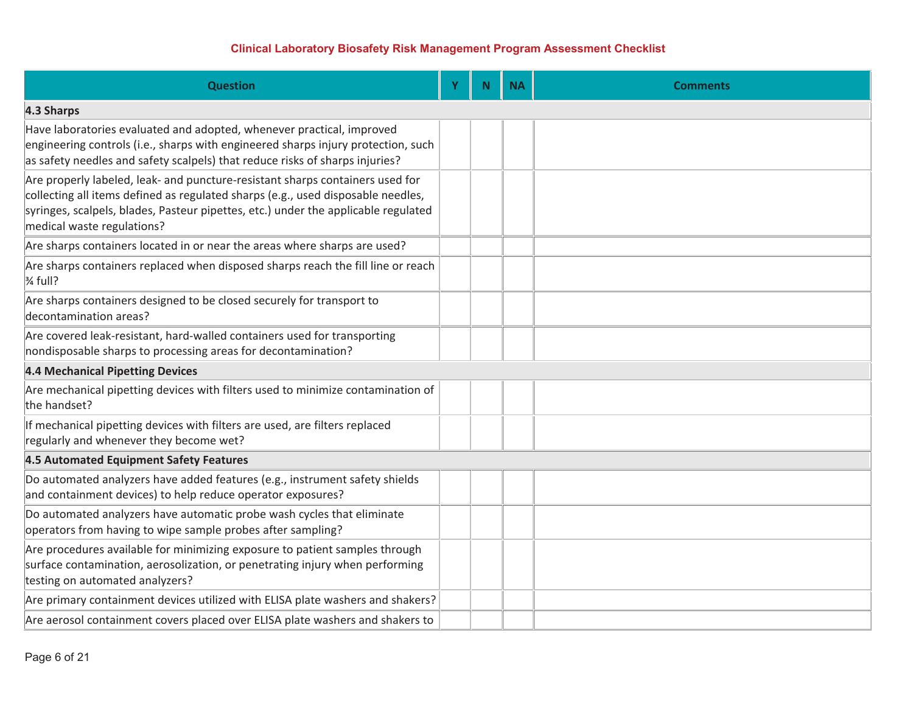| <b>Question</b>                                                                                                                                                                                                                                                                       | Y | N. | <b>NA</b> | <b>Comments</b> |
|---------------------------------------------------------------------------------------------------------------------------------------------------------------------------------------------------------------------------------------------------------------------------------------|---|----|-----------|-----------------|
| 4.3 Sharps                                                                                                                                                                                                                                                                            |   |    |           |                 |
| Have laboratories evaluated and adopted, whenever practical, improved<br>engineering controls (i.e., sharps with engineered sharps injury protection, such<br>as safety needles and safety scalpels) that reduce risks of sharps injuries?                                            |   |    |           |                 |
| Are properly labeled, leak- and puncture-resistant sharps containers used for<br>collecting all items defined as regulated sharps (e.g., used disposable needles,<br>syringes, scalpels, blades, Pasteur pipettes, etc.) under the applicable regulated<br>medical waste regulations? |   |    |           |                 |
| Are sharps containers located in or near the areas where sharps are used?                                                                                                                                                                                                             |   |    |           |                 |
| Are sharps containers replaced when disposed sharps reach the fill line or reach<br>$\frac{3}{4}$ full?                                                                                                                                                                               |   |    |           |                 |
| Are sharps containers designed to be closed securely for transport to<br>decontamination areas?                                                                                                                                                                                       |   |    |           |                 |
| Are covered leak-resistant, hard-walled containers used for transporting<br>nondisposable sharps to processing areas for decontamination?                                                                                                                                             |   |    |           |                 |
| <b>4.4 Mechanical Pipetting Devices</b>                                                                                                                                                                                                                                               |   |    |           |                 |
| Are mechanical pipetting devices with filters used to minimize contamination of<br>the handset?                                                                                                                                                                                       |   |    |           |                 |
| If mechanical pipetting devices with filters are used, are filters replaced<br>regularly and whenever they become wet?                                                                                                                                                                |   |    |           |                 |
| 4.5 Automated Equipment Safety Features                                                                                                                                                                                                                                               |   |    |           |                 |
| Do automated analyzers have added features (e.g., instrument safety shields<br>and containment devices) to help reduce operator exposures?                                                                                                                                            |   |    |           |                 |
| Do automated analyzers have automatic probe wash cycles that eliminate<br>operators from having to wipe sample probes after sampling?                                                                                                                                                 |   |    |           |                 |
| Are procedures available for minimizing exposure to patient samples through<br>surface contamination, aerosolization, or penetrating injury when performing<br>testing on automated analyzers?                                                                                        |   |    |           |                 |
| Are primary containment devices utilized with ELISA plate washers and shakers?                                                                                                                                                                                                        |   |    |           |                 |
| Are aerosol containment covers placed over ELISA plate washers and shakers to                                                                                                                                                                                                         |   |    |           |                 |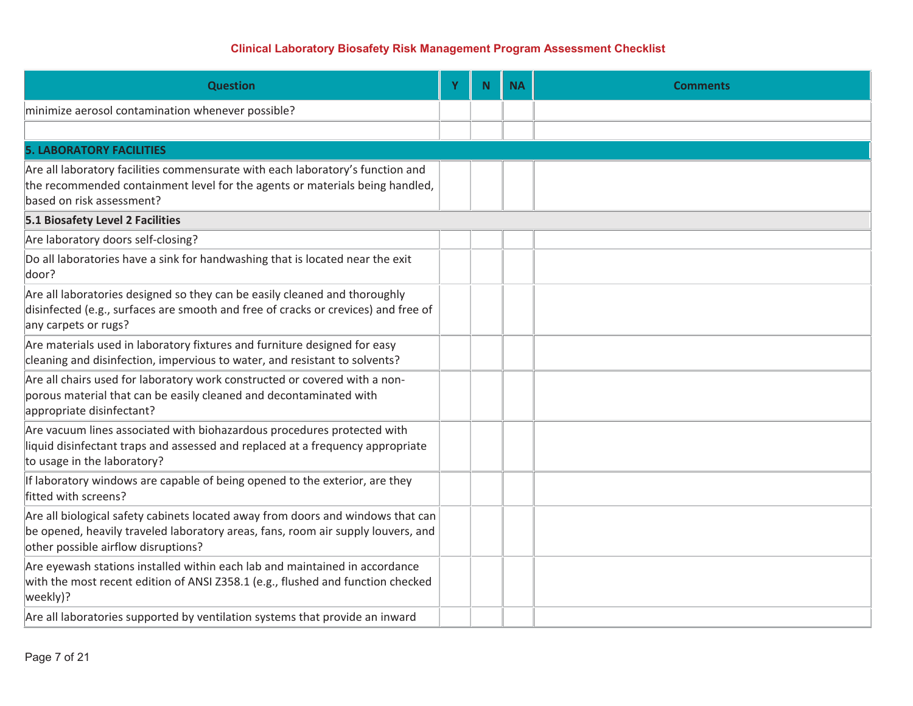| <b>Question</b>                                                                                                                                                                                            | Y | N. | <b>NA</b> | <b>Comments</b> |  |  |  |  |
|------------------------------------------------------------------------------------------------------------------------------------------------------------------------------------------------------------|---|----|-----------|-----------------|--|--|--|--|
| minimize aerosol contamination whenever possible?                                                                                                                                                          |   |    |           |                 |  |  |  |  |
|                                                                                                                                                                                                            |   |    |           |                 |  |  |  |  |
| <b>5. LABORATORY FACILITIES</b>                                                                                                                                                                            |   |    |           |                 |  |  |  |  |
| Are all laboratory facilities commensurate with each laboratory's function and<br>the recommended containment level for the agents or materials being handled,<br>based on risk assessment?                |   |    |           |                 |  |  |  |  |
| 5.1 Biosafety Level 2 Facilities                                                                                                                                                                           |   |    |           |                 |  |  |  |  |
| Are laboratory doors self-closing?                                                                                                                                                                         |   |    |           |                 |  |  |  |  |
| Do all laboratories have a sink for handwashing that is located near the exit<br>door?                                                                                                                     |   |    |           |                 |  |  |  |  |
| Are all laboratories designed so they can be easily cleaned and thoroughly<br>disinfected (e.g., surfaces are smooth and free of cracks or crevices) and free of<br>any carpets or rugs?                   |   |    |           |                 |  |  |  |  |
| Are materials used in laboratory fixtures and furniture designed for easy<br>cleaning and disinfection, impervious to water, and resistant to solvents?                                                    |   |    |           |                 |  |  |  |  |
| Are all chairs used for laboratory work constructed or covered with a non-<br>porous material that can be easily cleaned and decontaminated with<br>appropriate disinfectant?                              |   |    |           |                 |  |  |  |  |
| Are vacuum lines associated with biohazardous procedures protected with<br>liquid disinfectant traps and assessed and replaced at a frequency appropriate<br>to usage in the laboratory?                   |   |    |           |                 |  |  |  |  |
| If laboratory windows are capable of being opened to the exterior, are they<br>fitted with screens?                                                                                                        |   |    |           |                 |  |  |  |  |
| Are all biological safety cabinets located away from doors and windows that can<br>be opened, heavily traveled laboratory areas, fans, room air supply louvers, and<br>other possible airflow disruptions? |   |    |           |                 |  |  |  |  |
| Are eyewash stations installed within each lab and maintained in accordance<br>with the most recent edition of ANSI Z358.1 (e.g., flushed and function checked<br>weekly)?                                 |   |    |           |                 |  |  |  |  |
| Are all laboratories supported by ventilation systems that provide an inward                                                                                                                               |   |    |           |                 |  |  |  |  |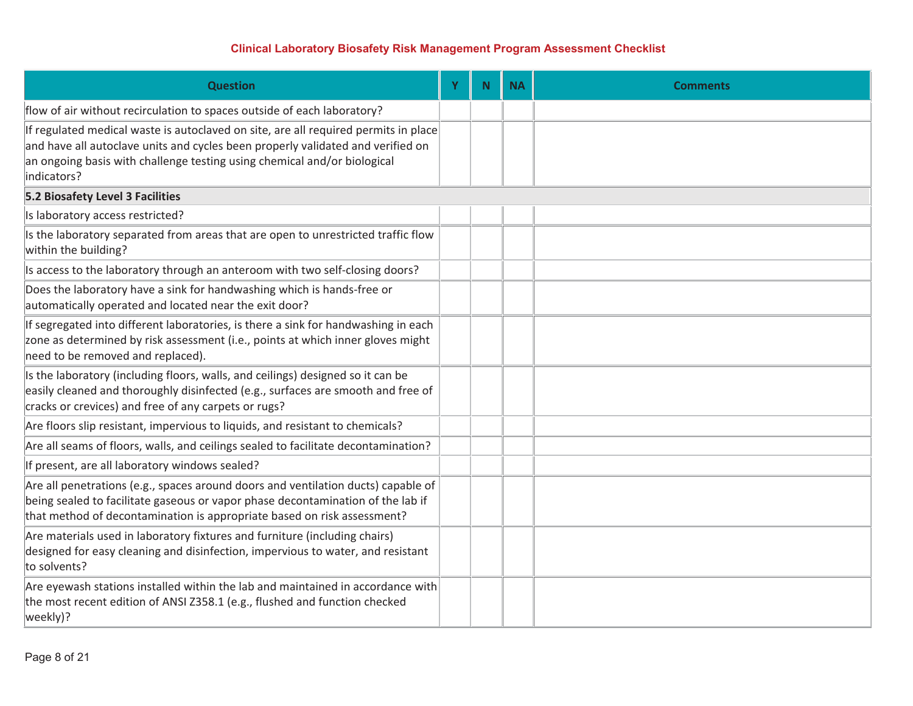| <b>Question</b>                                                                                                                                                                                                                                                   | Y | <b>N</b> | <b>NA</b> | <b>Comments</b> |
|-------------------------------------------------------------------------------------------------------------------------------------------------------------------------------------------------------------------------------------------------------------------|---|----------|-----------|-----------------|
| flow of air without recirculation to spaces outside of each laboratory?                                                                                                                                                                                           |   |          |           |                 |
| If regulated medical waste is autoclaved on site, are all required permits in place<br>and have all autoclave units and cycles been properly validated and verified on<br>an ongoing basis with challenge testing using chemical and/or biological<br>indicators? |   |          |           |                 |
| <b>5.2 Biosafety Level 3 Facilities</b>                                                                                                                                                                                                                           |   |          |           |                 |
| Is laboratory access restricted?                                                                                                                                                                                                                                  |   |          |           |                 |
| Is the laboratory separated from areas that are open to unrestricted traffic flow<br>within the building?                                                                                                                                                         |   |          |           |                 |
| Is access to the laboratory through an anteroom with two self-closing doors?                                                                                                                                                                                      |   |          |           |                 |
| Does the laboratory have a sink for handwashing which is hands-free or<br>automatically operated and located near the exit door?                                                                                                                                  |   |          |           |                 |
| If segregated into different laboratories, is there a sink for handwashing in each<br>zone as determined by risk assessment (i.e., points at which inner gloves might<br>need to be removed and replaced).                                                        |   |          |           |                 |
| Is the laboratory (including floors, walls, and ceilings) designed so it can be<br>easily cleaned and thoroughly disinfected (e.g., surfaces are smooth and free of<br>cracks or crevices) and free of any carpets or rugs?                                       |   |          |           |                 |
| Are floors slip resistant, impervious to liquids, and resistant to chemicals?                                                                                                                                                                                     |   |          |           |                 |
| Are all seams of floors, walls, and ceilings sealed to facilitate decontamination?                                                                                                                                                                                |   |          |           |                 |
| If present, are all laboratory windows sealed?                                                                                                                                                                                                                    |   |          |           |                 |
| Are all penetrations (e.g., spaces around doors and ventilation ducts) capable of<br>being sealed to facilitate gaseous or vapor phase decontamination of the lab if<br>that method of decontamination is appropriate based on risk assessment?                   |   |          |           |                 |
| Are materials used in laboratory fixtures and furniture (including chairs)<br>designed for easy cleaning and disinfection, impervious to water, and resistant<br>to solvents?                                                                                     |   |          |           |                 |
| Are eyewash stations installed within the lab and maintained in accordance with<br>the most recent edition of ANSI Z358.1 (e.g., flushed and function checked<br>weekly)?                                                                                         |   |          |           |                 |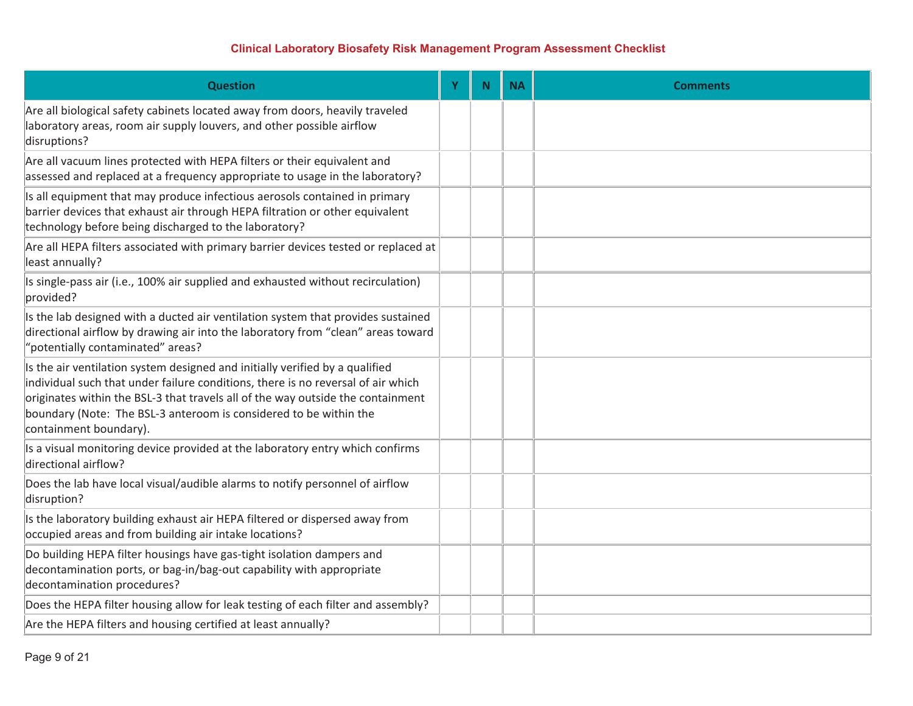| <b>Question</b>                                                                                                                                                                                                                                                                                                                                    | Ÿ | N <sub>1</sub> | <b>NA</b> | <b>Comments</b> |
|----------------------------------------------------------------------------------------------------------------------------------------------------------------------------------------------------------------------------------------------------------------------------------------------------------------------------------------------------|---|----------------|-----------|-----------------|
| Are all biological safety cabinets located away from doors, heavily traveled<br>laboratory areas, room air supply louvers, and other possible airflow<br>disruptions?                                                                                                                                                                              |   |                |           |                 |
| Are all vacuum lines protected with HEPA filters or their equivalent and<br>assessed and replaced at a frequency appropriate to usage in the laboratory?                                                                                                                                                                                           |   |                |           |                 |
| Is all equipment that may produce infectious aerosols contained in primary<br>barrier devices that exhaust air through HEPA filtration or other equivalent<br>technology before being discharged to the laboratory?                                                                                                                                |   |                |           |                 |
| Are all HEPA filters associated with primary barrier devices tested or replaced at<br>least annually?                                                                                                                                                                                                                                              |   |                |           |                 |
| Is single-pass air (i.e., 100% air supplied and exhausted without recirculation)<br>provided?                                                                                                                                                                                                                                                      |   |                |           |                 |
| Is the lab designed with a ducted air ventilation system that provides sustained<br>directional airflow by drawing air into the laboratory from "clean" areas toward<br>'potentially contaminated" areas?                                                                                                                                          |   |                |           |                 |
| Is the air ventilation system designed and initially verified by a qualified<br>individual such that under failure conditions, there is no reversal of air which<br>originates within the BSL-3 that travels all of the way outside the containment<br>boundary (Note: The BSL-3 anteroom is considered to be within the<br>containment boundary). |   |                |           |                 |
| Is a visual monitoring device provided at the laboratory entry which confirms<br>directional airflow?                                                                                                                                                                                                                                              |   |                |           |                 |
| Does the lab have local visual/audible alarms to notify personnel of airflow<br>disruption?                                                                                                                                                                                                                                                        |   |                |           |                 |
| Is the laboratory building exhaust air HEPA filtered or dispersed away from<br>occupied areas and from building air intake locations?                                                                                                                                                                                                              |   |                |           |                 |
| Do building HEPA filter housings have gas-tight isolation dampers and<br>decontamination ports, or bag-in/bag-out capability with appropriate<br>decontamination procedures?                                                                                                                                                                       |   |                |           |                 |
| Does the HEPA filter housing allow for leak testing of each filter and assembly?                                                                                                                                                                                                                                                                   |   |                |           |                 |
| Are the HEPA filters and housing certified at least annually?                                                                                                                                                                                                                                                                                      |   |                |           |                 |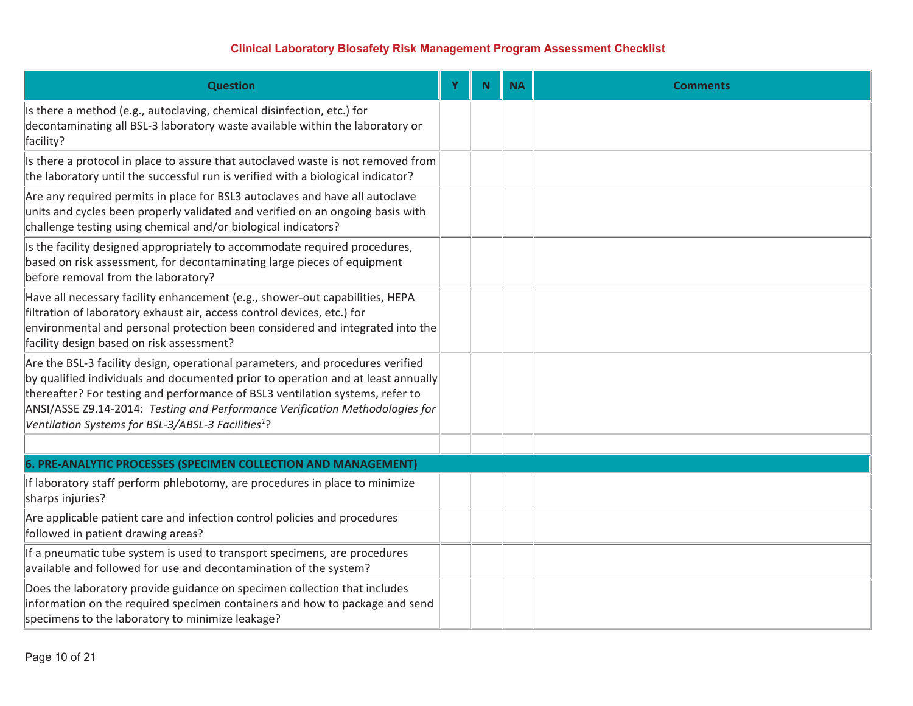| <b>Question</b>                                                                                                                                                                                                                                                                                                                                                                                       | Y | N | <b>NA</b> | <b>Comments</b> |
|-------------------------------------------------------------------------------------------------------------------------------------------------------------------------------------------------------------------------------------------------------------------------------------------------------------------------------------------------------------------------------------------------------|---|---|-----------|-----------------|
| Is there a method (e.g., autoclaving, chemical disinfection, etc.) for<br>decontaminating all BSL-3 laboratory waste available within the laboratory or<br>facility?                                                                                                                                                                                                                                  |   |   |           |                 |
| Is there a protocol in place to assure that autoclaved waste is not removed from<br>the laboratory until the successful run is verified with a biological indicator?                                                                                                                                                                                                                                  |   |   |           |                 |
| Are any required permits in place for BSL3 autoclaves and have all autoclave<br>units and cycles been properly validated and verified on an ongoing basis with<br>challenge testing using chemical and/or biological indicators?                                                                                                                                                                      |   |   |           |                 |
| Is the facility designed appropriately to accommodate required procedures,<br>based on risk assessment, for decontaminating large pieces of equipment<br>before removal from the laboratory?                                                                                                                                                                                                          |   |   |           |                 |
| Have all necessary facility enhancement (e.g., shower-out capabilities, HEPA<br>filtration of laboratory exhaust air, access control devices, etc.) for<br>environmental and personal protection been considered and integrated into the<br>facility design based on risk assessment?                                                                                                                 |   |   |           |                 |
| Are the BSL-3 facility design, operational parameters, and procedures verified<br>by qualified individuals and documented prior to operation and at least annually<br>thereafter? For testing and performance of BSL3 ventilation systems, refer to<br>ANSI/ASSE Z9.14-2014: Testing and Performance Verification Methodologies for<br>Ventilation Systems for BSL-3/ABSL-3 Facilities <sup>1</sup> ? |   |   |           |                 |
|                                                                                                                                                                                                                                                                                                                                                                                                       |   |   |           |                 |
| 6. PRE-ANALYTIC PROCESSES (SPECIMEN COLLECTION AND MANAGEMENT)<br>If laboratory staff perform phlebotomy, are procedures in place to minimize<br>sharps injuries?                                                                                                                                                                                                                                     |   |   |           |                 |
| Are applicable patient care and infection control policies and procedures<br>followed in patient drawing areas?                                                                                                                                                                                                                                                                                       |   |   |           |                 |
| If a pneumatic tube system is used to transport specimens, are procedures<br>available and followed for use and decontamination of the system?                                                                                                                                                                                                                                                        |   |   |           |                 |
| Does the laboratory provide guidance on specimen collection that includes<br>information on the required specimen containers and how to package and send<br>specimens to the laboratory to minimize leakage?                                                                                                                                                                                          |   |   |           |                 |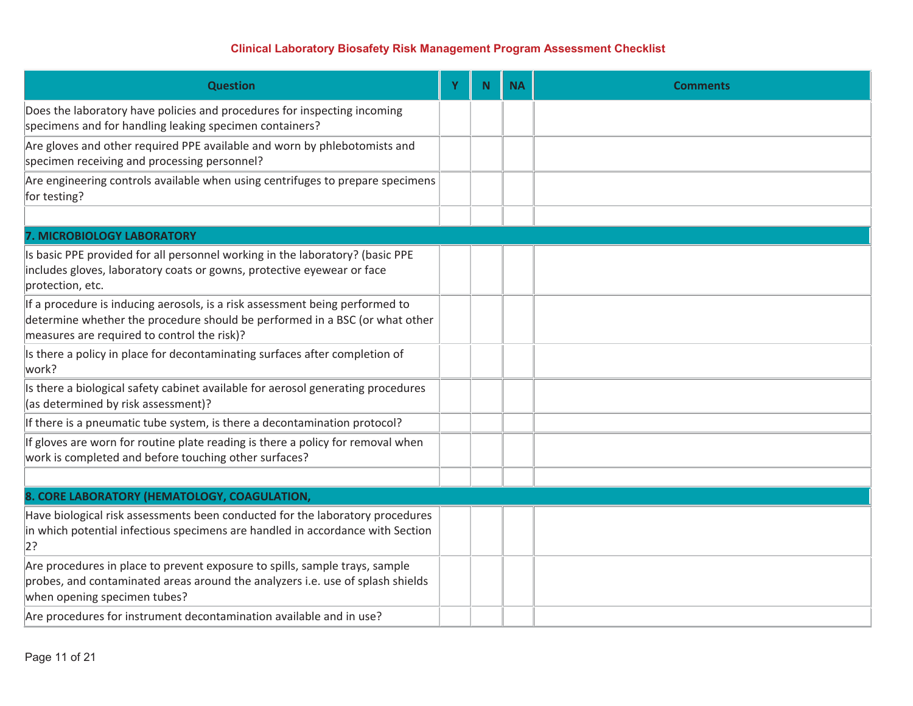| <b>Question</b>                                                                                                                                                                                            | Y | N. | <b>NA</b> | <b>Comments</b> |
|------------------------------------------------------------------------------------------------------------------------------------------------------------------------------------------------------------|---|----|-----------|-----------------|
| Does the laboratory have policies and procedures for inspecting incoming<br>specimens and for handling leaking specimen containers?                                                                        |   |    |           |                 |
| Are gloves and other required PPE available and worn by phlebotomists and<br>specimen receiving and processing personnel?                                                                                  |   |    |           |                 |
| Are engineering controls available when using centrifuges to prepare specimens<br>for testing?                                                                                                             |   |    |           |                 |
|                                                                                                                                                                                                            |   |    |           |                 |
| <b>7. MICROBIOLOGY LABORATORY</b>                                                                                                                                                                          |   |    |           |                 |
| Is basic PPE provided for all personnel working in the laboratory? (basic PPE<br>includes gloves, laboratory coats or gowns, protective eyewear or face<br>protection, etc.                                |   |    |           |                 |
| If a procedure is inducing aerosols, is a risk assessment being performed to<br>determine whether the procedure should be performed in a BSC (or what other<br>measures are required to control the risk)? |   |    |           |                 |
| Is there a policy in place for decontaminating surfaces after completion of<br>work?                                                                                                                       |   |    |           |                 |
| Is there a biological safety cabinet available for aerosol generating procedures<br>(as determined by risk assessment)?                                                                                    |   |    |           |                 |
| If there is a pneumatic tube system, is there a decontamination protocol?                                                                                                                                  |   |    |           |                 |
| If gloves are worn for routine plate reading is there a policy for removal when<br>work is completed and before touching other surfaces?                                                                   |   |    |           |                 |
|                                                                                                                                                                                                            |   |    |           |                 |
| 8. CORE LABORATORY (HEMATOLOGY, COAGULATION,                                                                                                                                                               |   |    |           |                 |
| Have biological risk assessments been conducted for the laboratory procedures<br>in which potential infectious specimens are handled in accordance with Section<br> 2?                                     |   |    |           |                 |
| Are procedures in place to prevent exposure to spills, sample trays, sample<br>probes, and contaminated areas around the analyzers i.e. use of splash shields<br>when opening specimen tubes?              |   |    |           |                 |
| Are procedures for instrument decontamination available and in use?                                                                                                                                        |   |    |           |                 |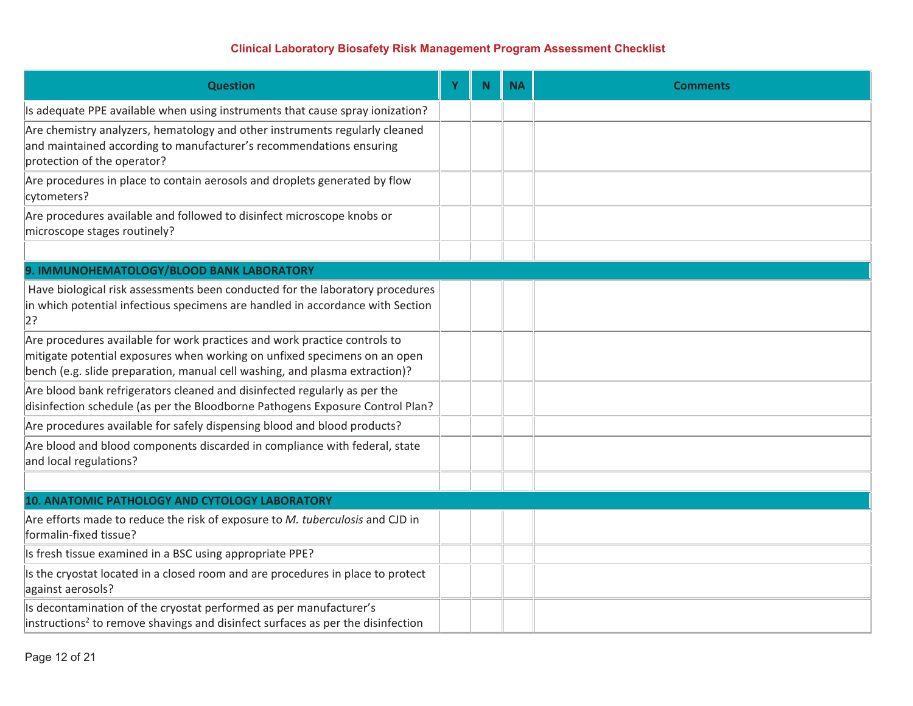| <b>Question</b>                                                                                                                                                                                                                       | Y | <b>N</b> | <b>NA</b> | <b>Comments</b> |
|---------------------------------------------------------------------------------------------------------------------------------------------------------------------------------------------------------------------------------------|---|----------|-----------|-----------------|
| Is adequate PPE available when using instruments that cause spray ionization?                                                                                                                                                         |   |          |           |                 |
| Are chemistry analyzers, hematology and other instruments regularly cleaned<br>and maintained according to manufacturer's recommendations ensuring<br>protection of the operator?                                                     |   |          |           |                 |
| Are procedures in place to contain aerosols and droplets generated by flow<br>cytometers?                                                                                                                                             |   |          |           |                 |
| Are procedures available and followed to disinfect microscope knobs or<br>microscope stages routinely?                                                                                                                                |   |          |           |                 |
|                                                                                                                                                                                                                                       |   |          |           |                 |
| 9. IMMUNOHEMATOLOGY/BLOOD BANK LABORATORY                                                                                                                                                                                             |   |          |           |                 |
| Have biological risk assessments been conducted for the laboratory procedures<br>in which potential infectious specimens are handled in accordance with Section<br>2?                                                                 |   |          |           |                 |
| Are procedures available for work practices and work practice controls to<br>mitigate potential exposures when working on unfixed specimens on an open<br>bench (e.g. slide preparation, manual cell washing, and plasma extraction)? |   |          |           |                 |
| Are blood bank refrigerators cleaned and disinfected regularly as per the<br>disinfection schedule (as per the Bloodborne Pathogens Exposure Control Plan?                                                                            |   |          |           |                 |
| Are procedures available for safely dispensing blood and blood products?                                                                                                                                                              |   |          |           |                 |
| Are blood and blood components discarded in compliance with federal, state<br>and local regulations?                                                                                                                                  |   |          |           |                 |
|                                                                                                                                                                                                                                       |   |          |           |                 |
| 10. ANATOMIC PATHOLOGY AND CYTOLOGY LABORATORY                                                                                                                                                                                        |   |          |           |                 |
| Are efforts made to reduce the risk of exposure to M. tuberculosis and CJD in<br>formalin-fixed tissue?                                                                                                                               |   |          |           |                 |
| Is fresh tissue examined in a BSC using appropriate PPE?                                                                                                                                                                              |   |          |           |                 |
| Is the cryostat located in a closed room and are procedures in place to protect<br>against aerosols?                                                                                                                                  |   |          |           |                 |
| Is decontamination of the cryostat performed as per manufacturer's<br>instructions <sup>2</sup> to remove shavings and disinfect surfaces as per the disinfection                                                                     |   |          |           |                 |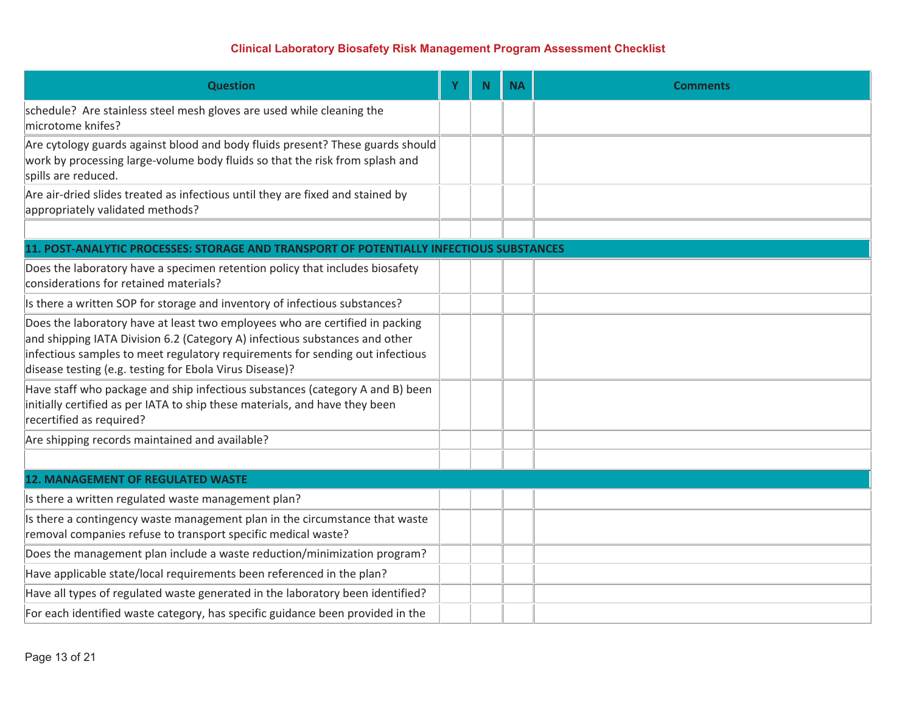| <b>Question</b>                                                                                                                                                                                                                                                                                         | Y | N. | <b>NA</b> | <b>Comments</b> |
|---------------------------------------------------------------------------------------------------------------------------------------------------------------------------------------------------------------------------------------------------------------------------------------------------------|---|----|-----------|-----------------|
| schedule? Are stainless steel mesh gloves are used while cleaning the<br>microtome knifes?                                                                                                                                                                                                              |   |    |           |                 |
| Are cytology guards against blood and body fluids present? These guards should<br>work by processing large-volume body fluids so that the risk from splash and<br>spills are reduced.                                                                                                                   |   |    |           |                 |
| Are air-dried slides treated as infectious until they are fixed and stained by<br>appropriately validated methods?                                                                                                                                                                                      |   |    |           |                 |
| 11. POST-ANALYTIC PROCESSES: STORAGE AND TRANSPORT OF POTENTIALLY INFECTIOUS SUBSTANCES                                                                                                                                                                                                                 |   |    |           |                 |
| Does the laboratory have a specimen retention policy that includes biosafety<br>considerations for retained materials?                                                                                                                                                                                  |   |    |           |                 |
| Is there a written SOP for storage and inventory of infectious substances?                                                                                                                                                                                                                              |   |    |           |                 |
| Does the laboratory have at least two employees who are certified in packing<br>and shipping IATA Division 6.2 (Category A) infectious substances and other<br>infectious samples to meet regulatory requirements for sending out infectious<br>disease testing (e.g. testing for Ebola Virus Disease)? |   |    |           |                 |
| Have staff who package and ship infectious substances (category A and B) been<br>initially certified as per IATA to ship these materials, and have they been<br>recertified as required?                                                                                                                |   |    |           |                 |
| Are shipping records maintained and available?                                                                                                                                                                                                                                                          |   |    |           |                 |
|                                                                                                                                                                                                                                                                                                         |   |    |           |                 |
| <b>12. MANAGEMENT OF REGULATED WASTE</b>                                                                                                                                                                                                                                                                |   |    |           |                 |
| Is there a written regulated waste management plan?                                                                                                                                                                                                                                                     |   |    |           |                 |
| Is there a contingency waste management plan in the circumstance that waste<br>removal companies refuse to transport specific medical waste?                                                                                                                                                            |   |    |           |                 |
| Does the management plan include a waste reduction/minimization program?                                                                                                                                                                                                                                |   |    |           |                 |
| Have applicable state/local requirements been referenced in the plan?                                                                                                                                                                                                                                   |   |    |           |                 |
| Have all types of regulated waste generated in the laboratory been identified?                                                                                                                                                                                                                          |   |    |           |                 |
| For each identified waste category, has specific guidance been provided in the                                                                                                                                                                                                                          |   |    |           |                 |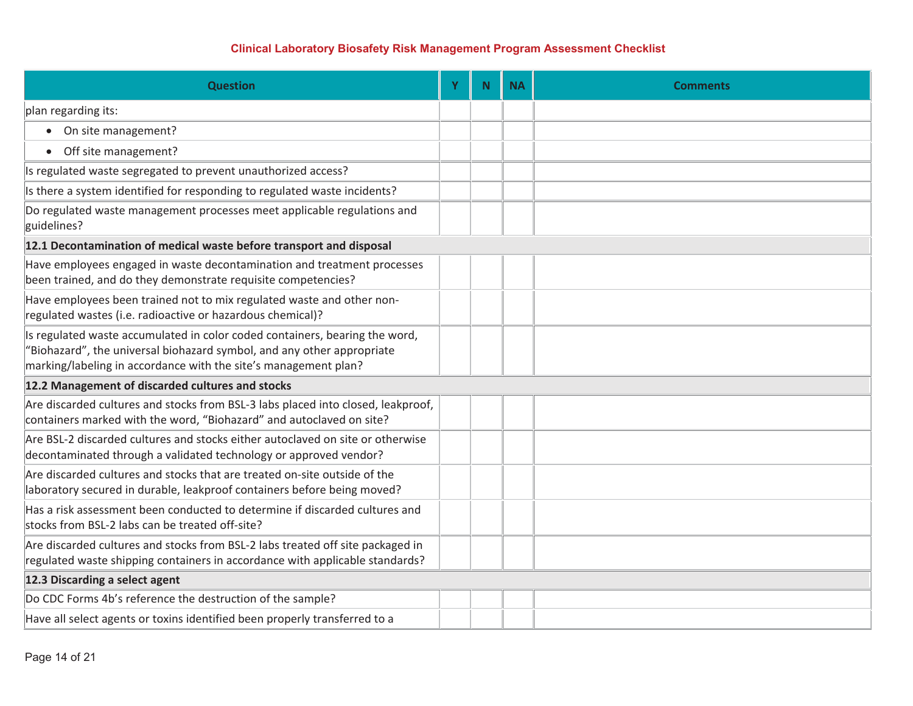| <b>Question</b>                                                                                                                                                                                                          | Y | <b>N</b> | <b>NA</b> | <b>Comments</b> |
|--------------------------------------------------------------------------------------------------------------------------------------------------------------------------------------------------------------------------|---|----------|-----------|-----------------|
| plan regarding its:                                                                                                                                                                                                      |   |          |           |                 |
| • On site management?                                                                                                                                                                                                    |   |          |           |                 |
| Off site management?<br>$\bullet$                                                                                                                                                                                        |   |          |           |                 |
| Is regulated waste segregated to prevent unauthorized access?                                                                                                                                                            |   |          |           |                 |
| Is there a system identified for responding to regulated waste incidents?                                                                                                                                                |   |          |           |                 |
| Do regulated waste management processes meet applicable regulations and<br>guidelines?                                                                                                                                   |   |          |           |                 |
| 12.1 Decontamination of medical waste before transport and disposal                                                                                                                                                      |   |          |           |                 |
| Have employees engaged in waste decontamination and treatment processes<br>been trained, and do they demonstrate requisite competencies?                                                                                 |   |          |           |                 |
| Have employees been trained not to mix regulated waste and other non-<br>regulated wastes (i.e. radioactive or hazardous chemical)?                                                                                      |   |          |           |                 |
| Is regulated waste accumulated in color coded containers, bearing the word,<br>"Biohazard", the universal biohazard symbol, and any other appropriate<br>marking/labeling in accordance with the site's management plan? |   |          |           |                 |
| 12.2 Management of discarded cultures and stocks                                                                                                                                                                         |   |          |           |                 |
| Are discarded cultures and stocks from BSL-3 labs placed into closed, leakproof,<br>containers marked with the word, "Biohazard" and autoclaved on site?                                                                 |   |          |           |                 |
| Are BSL-2 discarded cultures and stocks either autoclaved on site or otherwise<br>decontaminated through a validated technology or approved vendor?                                                                      |   |          |           |                 |
| Are discarded cultures and stocks that are treated on-site outside of the<br>laboratory secured in durable, leakproof containers before being moved?                                                                     |   |          |           |                 |
| Has a risk assessment been conducted to determine if discarded cultures and<br>stocks from BSL-2 labs can be treated off-site?                                                                                           |   |          |           |                 |
| Are discarded cultures and stocks from BSL-2 labs treated off site packaged in<br>regulated waste shipping containers in accordance with applicable standards?                                                           |   |          |           |                 |
| 12.3 Discarding a select agent                                                                                                                                                                                           |   |          |           |                 |
| Do CDC Forms 4b's reference the destruction of the sample?                                                                                                                                                               |   |          |           |                 |
| Have all select agents or toxins identified been properly transferred to a                                                                                                                                               |   |          |           |                 |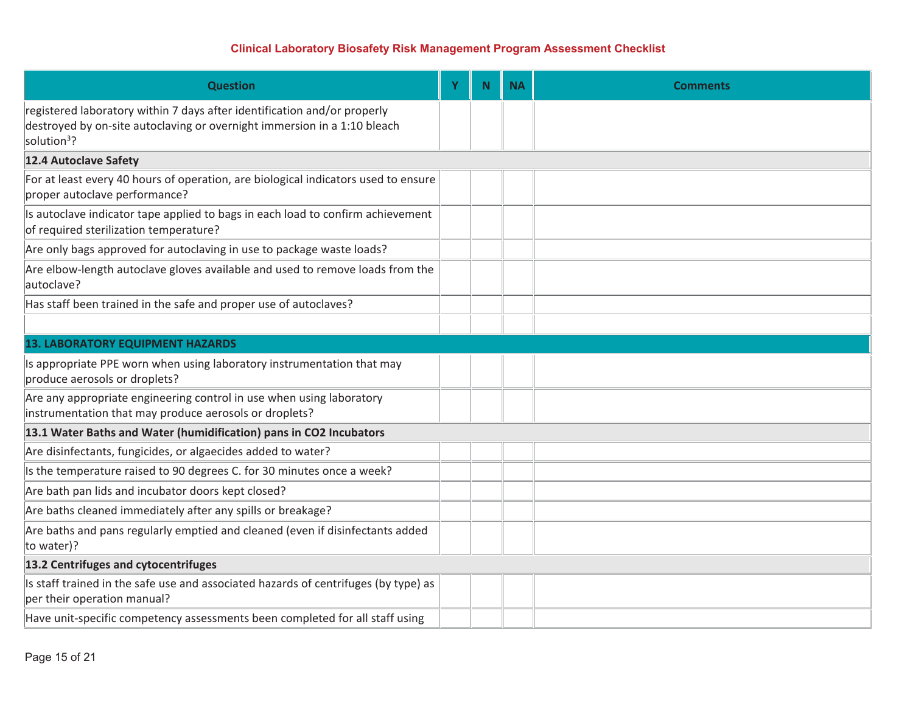| <b>Question</b>                                                                                                                                                                 | Y | N. | <b>NA</b> | <b>Comments</b> |
|---------------------------------------------------------------------------------------------------------------------------------------------------------------------------------|---|----|-----------|-----------------|
| registered laboratory within 7 days after identification and/or properly<br>destroyed by on-site autoclaving or overnight immersion in a 1:10 bleach<br>solution <sup>3</sup> ? |   |    |           |                 |
| 12.4 Autoclave Safety                                                                                                                                                           |   |    |           |                 |
| For at least every 40 hours of operation, are biological indicators used to ensure<br>proper autoclave performance?                                                             |   |    |           |                 |
| Is autoclave indicator tape applied to bags in each load to confirm achievement<br>of required sterilization temperature?                                                       |   |    |           |                 |
| Are only bags approved for autoclaving in use to package waste loads?                                                                                                           |   |    |           |                 |
| Are elbow-length autoclave gloves available and used to remove loads from the<br>autoclave?                                                                                     |   |    |           |                 |
| Has staff been trained in the safe and proper use of autoclaves?                                                                                                                |   |    |           |                 |
|                                                                                                                                                                                 |   |    |           |                 |
| <b>13. LABORATORY EQUIPMENT HAZARDS</b>                                                                                                                                         |   |    |           |                 |
| Is appropriate PPE worn when using laboratory instrumentation that may<br>produce aerosols or droplets?                                                                         |   |    |           |                 |
| Are any appropriate engineering control in use when using laboratory<br>instrumentation that may produce aerosols or droplets?                                                  |   |    |           |                 |
| 13.1 Water Baths and Water (humidification) pans in CO2 Incubators                                                                                                              |   |    |           |                 |
| Are disinfectants, fungicides, or algaecides added to water?                                                                                                                    |   |    |           |                 |
| Is the temperature raised to 90 degrees C. for 30 minutes once a week?                                                                                                          |   |    |           |                 |
| Are bath pan lids and incubator doors kept closed?                                                                                                                              |   |    |           |                 |
| Are baths cleaned immediately after any spills or breakage?                                                                                                                     |   |    |           |                 |
| Are baths and pans regularly emptied and cleaned (even if disinfectants added<br>to water)?                                                                                     |   |    |           |                 |
| 13.2 Centrifuges and cytocentrifuges                                                                                                                                            |   |    |           |                 |
| Is staff trained in the safe use and associated hazards of centrifuges (by type) as<br>per their operation manual?                                                              |   |    |           |                 |
| Have unit-specific competency assessments been completed for all staff using                                                                                                    |   |    |           |                 |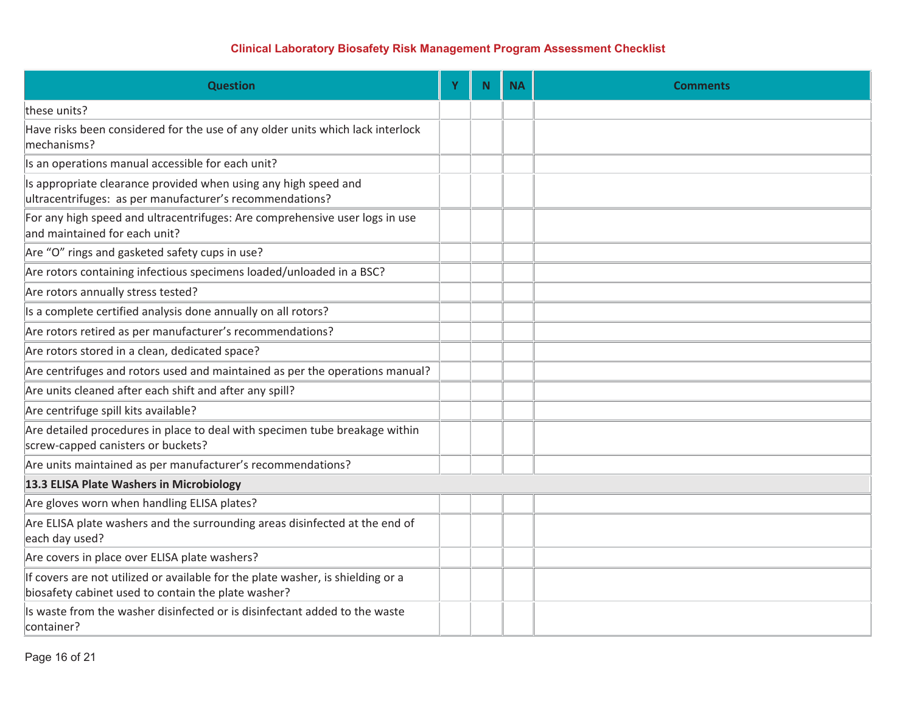| <b>Question</b>                                                                                                                        | Y | <b>N</b> | <b>NA</b> | <b>Comments</b> |
|----------------------------------------------------------------------------------------------------------------------------------------|---|----------|-----------|-----------------|
| these units?                                                                                                                           |   |          |           |                 |
| Have risks been considered for the use of any older units which lack interlock<br>mechanisms?                                          |   |          |           |                 |
| Is an operations manual accessible for each unit?                                                                                      |   |          |           |                 |
| Is appropriate clearance provided when using any high speed and<br>ultracentrifuges: as per manufacturer's recommendations?            |   |          |           |                 |
| For any high speed and ultracentrifuges: Are comprehensive user logs in use<br>and maintained for each unit?                           |   |          |           |                 |
| Are "O" rings and gasketed safety cups in use?                                                                                         |   |          |           |                 |
| Are rotors containing infectious specimens loaded/unloaded in a BSC?                                                                   |   |          |           |                 |
| Are rotors annually stress tested?                                                                                                     |   |          |           |                 |
| Is a complete certified analysis done annually on all rotors?                                                                          |   |          |           |                 |
| Are rotors retired as per manufacturer's recommendations?                                                                              |   |          |           |                 |
| Are rotors stored in a clean, dedicated space?                                                                                         |   |          |           |                 |
| Are centrifuges and rotors used and maintained as per the operations manual?                                                           |   |          |           |                 |
| Are units cleaned after each shift and after any spill?                                                                                |   |          |           |                 |
| Are centrifuge spill kits available?                                                                                                   |   |          |           |                 |
| Are detailed procedures in place to deal with specimen tube breakage within<br>screw-capped canisters or buckets?                      |   |          |           |                 |
| Are units maintained as per manufacturer's recommendations?                                                                            |   |          |           |                 |
| 13.3 ELISA Plate Washers in Microbiology                                                                                               |   |          |           |                 |
| Are gloves worn when handling ELISA plates?                                                                                            |   |          |           |                 |
| Are ELISA plate washers and the surrounding areas disinfected at the end of<br>each day used?                                          |   |          |           |                 |
| Are covers in place over ELISA plate washers?                                                                                          |   |          |           |                 |
| If covers are not utilized or available for the plate washer, is shielding or a<br>biosafety cabinet used to contain the plate washer? |   |          |           |                 |
| Is waste from the washer disinfected or is disinfectant added to the waste<br>container?                                               |   |          |           |                 |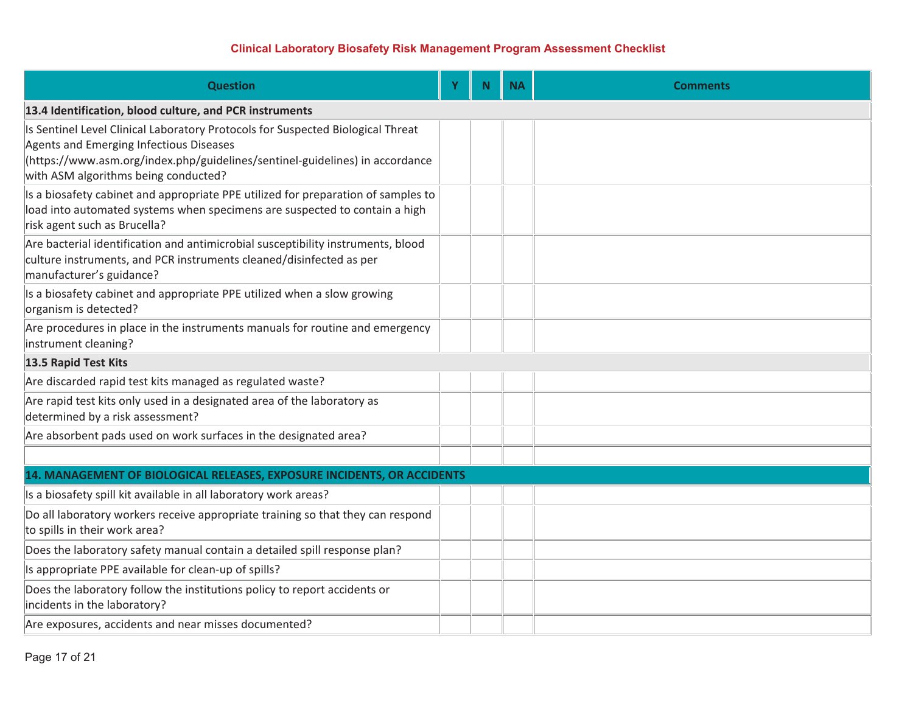| <b>Question</b>                                                                                                                                                                                                                                    | Y | N. | <b>NA</b> | <b>Comments</b> |  |  |  |
|----------------------------------------------------------------------------------------------------------------------------------------------------------------------------------------------------------------------------------------------------|---|----|-----------|-----------------|--|--|--|
| 13.4 Identification, blood culture, and PCR instruments                                                                                                                                                                                            |   |    |           |                 |  |  |  |
| Is Sentinel Level Clinical Laboratory Protocols for Suspected Biological Threat<br>Agents and Emerging Infectious Diseases<br>(https://www.asm.org/index.php/guidelines/sentinel-guidelines) in accordance<br>with ASM algorithms being conducted? |   |    |           |                 |  |  |  |
| Is a biosafety cabinet and appropriate PPE utilized for preparation of samples to<br>load into automated systems when specimens are suspected to contain a high<br>risk agent such as Brucella?                                                    |   |    |           |                 |  |  |  |
| Are bacterial identification and antimicrobial susceptibility instruments, blood<br>culture instruments, and PCR instruments cleaned/disinfected as per<br>manufacturer's guidance?                                                                |   |    |           |                 |  |  |  |
| Is a biosafety cabinet and appropriate PPE utilized when a slow growing<br>organism is detected?                                                                                                                                                   |   |    |           |                 |  |  |  |
| Are procedures in place in the instruments manuals for routine and emergency<br>instrument cleaning?                                                                                                                                               |   |    |           |                 |  |  |  |
| 13.5 Rapid Test Kits                                                                                                                                                                                                                               |   |    |           |                 |  |  |  |
| Are discarded rapid test kits managed as regulated waste?                                                                                                                                                                                          |   |    |           |                 |  |  |  |
| Are rapid test kits only used in a designated area of the laboratory as<br>determined by a risk assessment?                                                                                                                                        |   |    |           |                 |  |  |  |
| Are absorbent pads used on work surfaces in the designated area?                                                                                                                                                                                   |   |    |           |                 |  |  |  |
|                                                                                                                                                                                                                                                    |   |    |           |                 |  |  |  |
| 14. MANAGEMENT OF BIOLOGICAL RELEASES, EXPOSURE INCIDENTS, OR ACCIDENTS                                                                                                                                                                            |   |    |           |                 |  |  |  |
| Is a biosafety spill kit available in all laboratory work areas?                                                                                                                                                                                   |   |    |           |                 |  |  |  |
| Do all laboratory workers receive appropriate training so that they can respond<br>to spills in their work area?                                                                                                                                   |   |    |           |                 |  |  |  |
| Does the laboratory safety manual contain a detailed spill response plan?                                                                                                                                                                          |   |    |           |                 |  |  |  |
| Is appropriate PPE available for clean-up of spills?                                                                                                                                                                                               |   |    |           |                 |  |  |  |
| Does the laboratory follow the institutions policy to report accidents or<br>incidents in the laboratory?                                                                                                                                          |   |    |           |                 |  |  |  |
| Are exposures, accidents and near misses documented?                                                                                                                                                                                               |   |    |           |                 |  |  |  |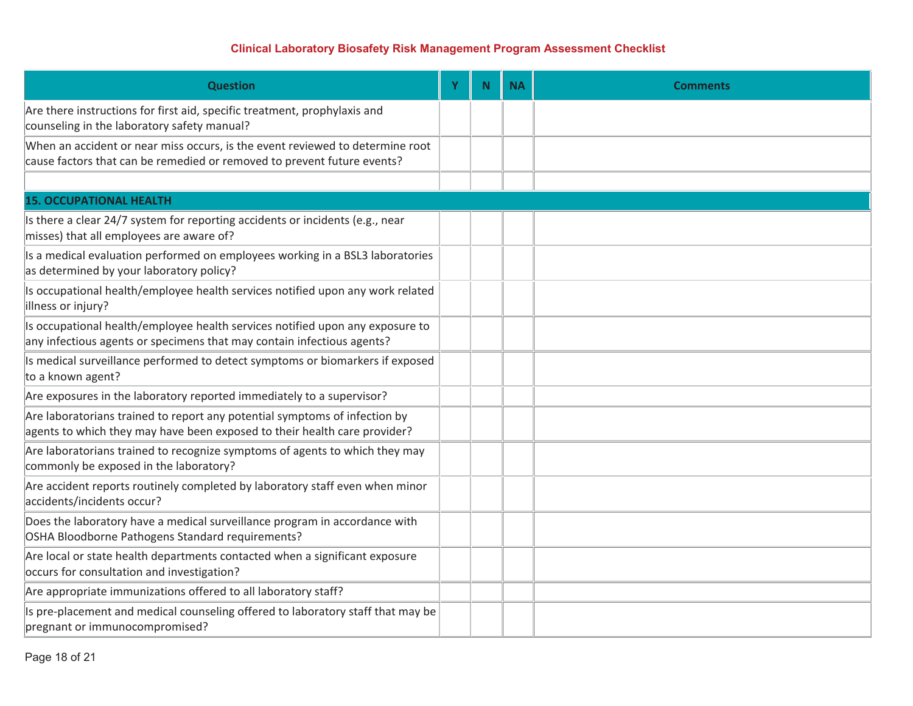| <b>Question</b>                                                                                                                                          | Y | $\mathbf N$ | <b>NA</b> | <b>Comments</b> |
|----------------------------------------------------------------------------------------------------------------------------------------------------------|---|-------------|-----------|-----------------|
| Are there instructions for first aid, specific treatment, prophylaxis and<br>counseling in the laboratory safety manual?                                 |   |             |           |                 |
| When an accident or near miss occurs, is the event reviewed to determine root<br>cause factors that can be remedied or removed to prevent future events? |   |             |           |                 |
|                                                                                                                                                          |   |             |           |                 |
| <b>15. OCCUPATIONAL HEALTH</b>                                                                                                                           |   |             |           |                 |
| Is there a clear 24/7 system for reporting accidents or incidents (e.g., near<br>misses) that all employees are aware of?                                |   |             |           |                 |
| Is a medical evaluation performed on employees working in a BSL3 laboratories<br>as determined by your laboratory policy?                                |   |             |           |                 |
| Is occupational health/employee health services notified upon any work related<br>illness or injury?                                                     |   |             |           |                 |
| Is occupational health/employee health services notified upon any exposure to<br>any infectious agents or specimens that may contain infectious agents?  |   |             |           |                 |
| Is medical surveillance performed to detect symptoms or biomarkers if exposed<br>to a known agent?                                                       |   |             |           |                 |
| Are exposures in the laboratory reported immediately to a supervisor?                                                                                    |   |             |           |                 |
| Are laboratorians trained to report any potential symptoms of infection by<br>agents to which they may have been exposed to their health care provider?  |   |             |           |                 |
| Are laboratorians trained to recognize symptoms of agents to which they may<br>commonly be exposed in the laboratory?                                    |   |             |           |                 |
| Are accident reports routinely completed by laboratory staff even when minor<br>accidents/incidents occur?                                               |   |             |           |                 |
| Does the laboratory have a medical surveillance program in accordance with<br>OSHA Bloodborne Pathogens Standard requirements?                           |   |             |           |                 |
| Are local or state health departments contacted when a significant exposure<br>occurs for consultation and investigation?                                |   |             |           |                 |
| Are appropriate immunizations offered to all laboratory staff?                                                                                           |   |             |           |                 |
| Is pre-placement and medical counseling offered to laboratory staff that may be<br>pregnant or immunocompromised?                                        |   |             |           |                 |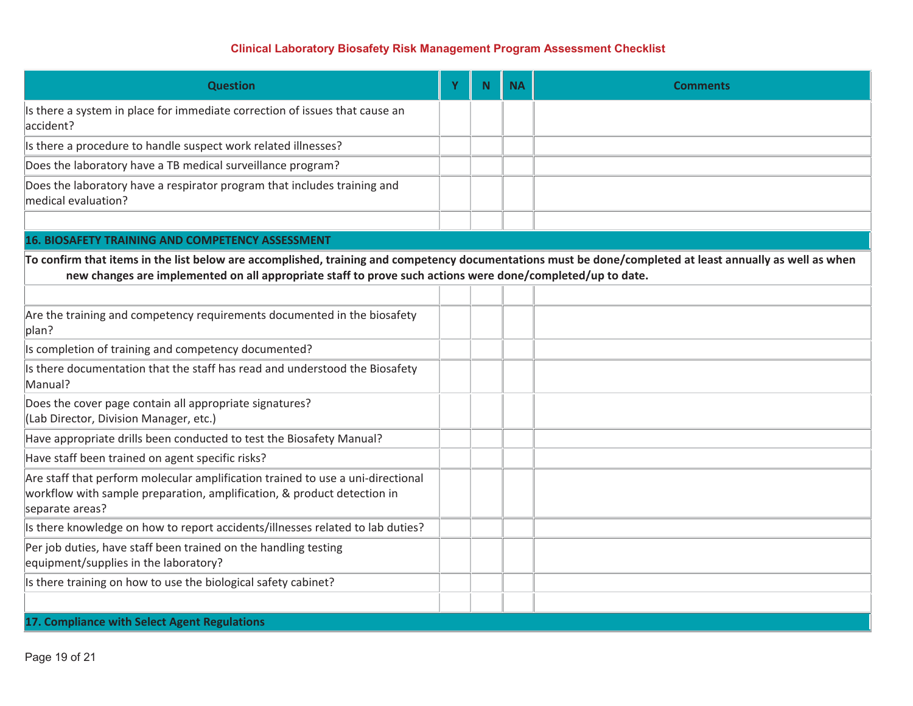| <b>Question</b>                                                                                                                                                                                                                                                         | Y | N. | <b>NA</b> | <b>Comments</b> |
|-------------------------------------------------------------------------------------------------------------------------------------------------------------------------------------------------------------------------------------------------------------------------|---|----|-----------|-----------------|
| Is there a system in place for immediate correction of issues that cause an<br>accident?                                                                                                                                                                                |   |    |           |                 |
| Is there a procedure to handle suspect work related illnesses?                                                                                                                                                                                                          |   |    |           |                 |
| Does the laboratory have a TB medical surveillance program?                                                                                                                                                                                                             |   |    |           |                 |
| Does the laboratory have a respirator program that includes training and<br>medical evaluation?                                                                                                                                                                         |   |    |           |                 |
|                                                                                                                                                                                                                                                                         |   |    |           |                 |
| <b>16. BIOSAFETY TRAINING AND COMPETENCY ASSESSMENT</b>                                                                                                                                                                                                                 |   |    |           |                 |
| To confirm that items in the list below are accomplished, training and competency documentations must be done/completed at least annually as well as when<br>new changes are implemented on all appropriate staff to prove such actions were done/completed/up to date. |   |    |           |                 |
|                                                                                                                                                                                                                                                                         |   |    |           |                 |
| Are the training and competency requirements documented in the biosafety<br>plan?                                                                                                                                                                                       |   |    |           |                 |
| Is completion of training and competency documented?                                                                                                                                                                                                                    |   |    |           |                 |
| Is there documentation that the staff has read and understood the Biosafety<br>Manual?                                                                                                                                                                                  |   |    |           |                 |
| Does the cover page contain all appropriate signatures?<br>(Lab Director, Division Manager, etc.)                                                                                                                                                                       |   |    |           |                 |
| Have appropriate drills been conducted to test the Biosafety Manual?                                                                                                                                                                                                    |   |    |           |                 |
| Have staff been trained on agent specific risks?                                                                                                                                                                                                                        |   |    |           |                 |
| Are staff that perform molecular amplification trained to use a uni-directional<br>workflow with sample preparation, amplification, & product detection in<br>separate areas?                                                                                           |   |    |           |                 |
| Is there knowledge on how to report accidents/illnesses related to lab duties?                                                                                                                                                                                          |   |    |           |                 |
| Per job duties, have staff been trained on the handling testing<br>equipment/supplies in the laboratory?                                                                                                                                                                |   |    |           |                 |
| Is there training on how to use the biological safety cabinet?                                                                                                                                                                                                          |   |    |           |                 |
|                                                                                                                                                                                                                                                                         |   |    |           |                 |
| 17. Compliance with Select Agent Regulations                                                                                                                                                                                                                            |   |    |           |                 |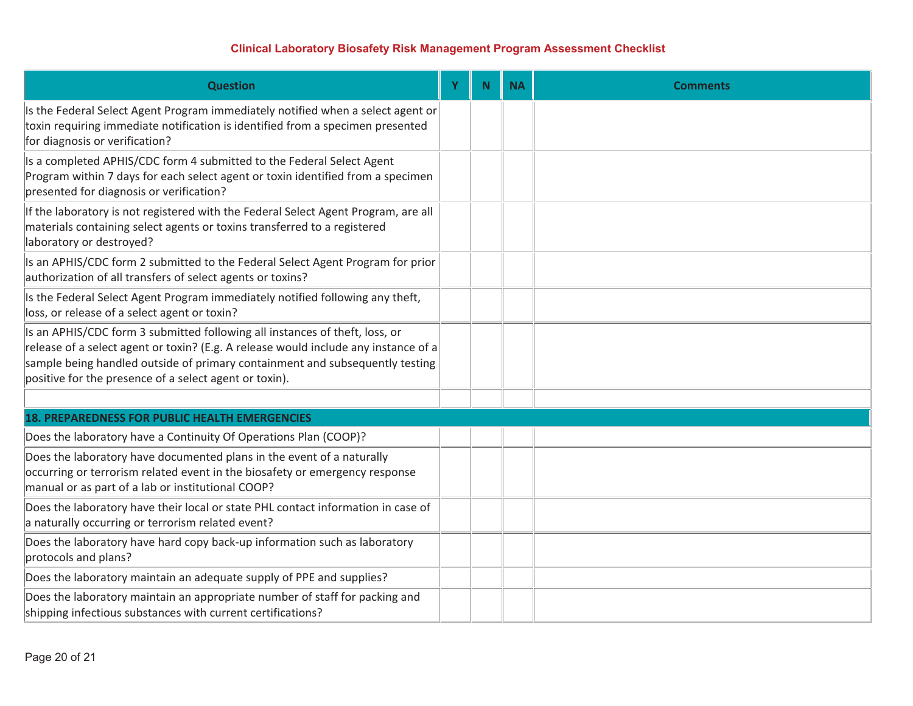| <b>Question</b>                                                                                                                                                                                                                                                                                              | Ÿ | <b>N</b> | <b>NA</b> | <b>Comments</b> |
|--------------------------------------------------------------------------------------------------------------------------------------------------------------------------------------------------------------------------------------------------------------------------------------------------------------|---|----------|-----------|-----------------|
| Is the Federal Select Agent Program immediately notified when a select agent or<br>toxin requiring immediate notification is identified from a specimen presented<br>for diagnosis or verification?                                                                                                          |   |          |           |                 |
| Is a completed APHIS/CDC form 4 submitted to the Federal Select Agent<br>Program within 7 days for each select agent or toxin identified from a specimen<br>presented for diagnosis or verification?                                                                                                         |   |          |           |                 |
| If the laboratory is not registered with the Federal Select Agent Program, are all<br>materials containing select agents or toxins transferred to a registered<br>laboratory or destroyed?                                                                                                                   |   |          |           |                 |
| Is an APHIS/CDC form 2 submitted to the Federal Select Agent Program for prior<br>authorization of all transfers of select agents or toxins?                                                                                                                                                                 |   |          |           |                 |
| Is the Federal Select Agent Program immediately notified following any theft,<br>loss, or release of a select agent or toxin?                                                                                                                                                                                |   |          |           |                 |
| Is an APHIS/CDC form 3 submitted following all instances of theft, loss, or<br>release of a select agent or toxin? (E.g. A release would include any instance of a<br>sample being handled outside of primary containment and subsequently testing<br>positive for the presence of a select agent or toxin). |   |          |           |                 |
|                                                                                                                                                                                                                                                                                                              |   |          |           |                 |
| <b>18. PREPAREDNESS FOR PUBLIC HEALTH EMERGENCIES</b>                                                                                                                                                                                                                                                        |   |          |           |                 |
| Does the laboratory have a Continuity Of Operations Plan (COOP)?                                                                                                                                                                                                                                             |   |          |           |                 |
| Does the laboratory have documented plans in the event of a naturally<br>occurring or terrorism related event in the biosafety or emergency response<br>manual or as part of a lab or institutional COOP?                                                                                                    |   |          |           |                 |
| Does the laboratory have their local or state PHL contact information in case of<br>a naturally occurring or terrorism related event?                                                                                                                                                                        |   |          |           |                 |
| Does the laboratory have hard copy back-up information such as laboratory<br>protocols and plans?                                                                                                                                                                                                            |   |          |           |                 |
| Does the laboratory maintain an adequate supply of PPE and supplies?                                                                                                                                                                                                                                         |   |          |           |                 |
| Does the laboratory maintain an appropriate number of staff for packing and<br>shipping infectious substances with current certifications?                                                                                                                                                                   |   |          |           |                 |